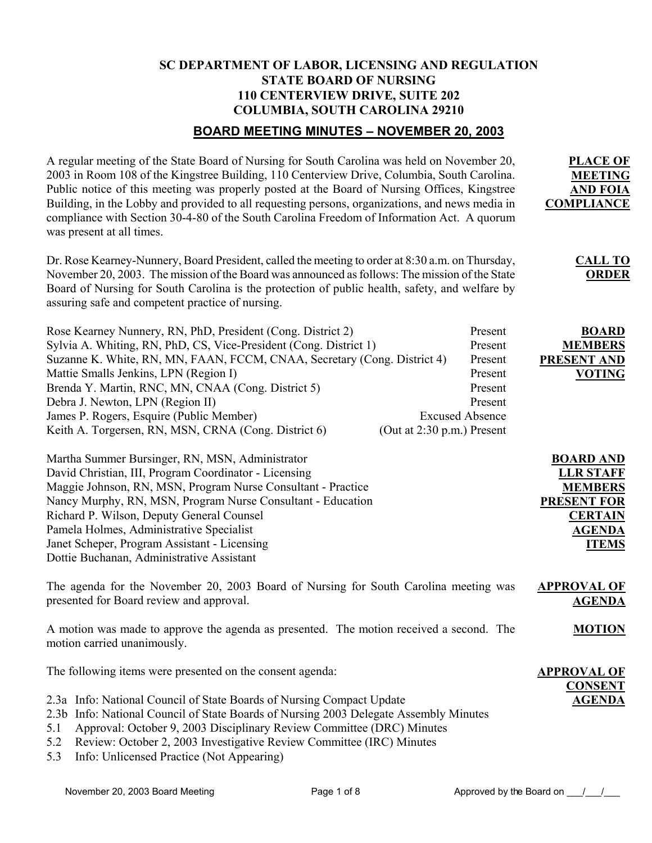# **SC DEPARTMENT OF LABOR, LICENSING AND REGULATION STATE BOARD OF NURSING 110 CENTERVIEW DRIVE, SUITE 202 COLUMBIA, SOUTH CAROLINA 29210**

# **BOARD MEETING MINUTES – NOVEMBER 20, 2003**

| A regular meeting of the State Board of Nursing for South Carolina was held on November 20,<br>2003 in Room 108 of the Kingstree Building, 110 Centerview Drive, Columbia, South Carolina.<br>Public notice of this meeting was properly posted at the Board of Nursing Offices, Kingstree<br>Building, in the Lobby and provided to all requesting persons, organizations, and news media in<br>compliance with Section 30-4-80 of the South Carolina Freedom of Information Act. A quorum<br>was present at all times. | <b>PLACE OF</b><br><b>MEETING</b><br><b>AND FOIA</b><br><b>COMPLIANCE</b>                                                        |
|--------------------------------------------------------------------------------------------------------------------------------------------------------------------------------------------------------------------------------------------------------------------------------------------------------------------------------------------------------------------------------------------------------------------------------------------------------------------------------------------------------------------------|----------------------------------------------------------------------------------------------------------------------------------|
| Dr. Rose Kearney-Nunnery, Board President, called the meeting to order at 8:30 a.m. on Thursday,<br>November 20, 2003. The mission of the Board was announced as follows: The mission of the State<br>Board of Nursing for South Carolina is the protection of public health, safety, and welfare by<br>assuring safe and competent practice of nursing.                                                                                                                                                                 | <b>CALL TO</b><br><b>ORDER</b>                                                                                                   |
| Rose Kearney Nunnery, RN, PhD, President (Cong. District 2)<br>Sylvia A. Whiting, RN, PhD, CS, Vice-President (Cong. District 1)<br>Suzanne K. White, RN, MN, FAAN, FCCM, CNAA, Secretary (Cong. District 4)<br>Mattie Smalls Jenkins, LPN (Region I)<br>Brenda Y. Martin, RNC, MN, CNAA (Cong. District 5)<br>Debra J. Newton, LPN (Region II)<br>James P. Rogers, Esquire (Public Member)<br><b>Excused Absence</b><br>Keith A. Torgersen, RN, MSN, CRNA (Cong. District 6)<br>(Out at 2:30 p.m.) Present              | Present<br><b>BOARD</b><br>Present<br><b>MEMBERS</b><br>Present<br>PRESENT AND<br>Present<br><b>VOTING</b><br>Present<br>Present |
| Martha Summer Bursinger, RN, MSN, Administrator<br>David Christian, III, Program Coordinator - Licensing<br>Maggie Johnson, RN, MSN, Program Nurse Consultant - Practice<br>Nancy Murphy, RN, MSN, Program Nurse Consultant - Education<br>Richard P. Wilson, Deputy General Counsel<br>Pamela Holmes, Administrative Specialist<br>Janet Scheper, Program Assistant - Licensing<br>Dottie Buchanan, Administrative Assistant                                                                                            | <b>BOARD AND</b><br><b>LLR STAFF</b><br><b>MEMBERS</b><br><b>PRESENT FOR</b><br><b>CERTAIN</b><br><b>AGENDA</b><br><b>ITEMS</b>  |
| The agenda for the November 20, 2003 Board of Nursing for South Carolina meeting was<br>presented for Board review and approval.                                                                                                                                                                                                                                                                                                                                                                                         | <b>APPROVAL OF</b><br><b>AGENDA</b>                                                                                              |
| A motion was made to approve the agenda as presented. The motion received a second. The<br>motion carried unanimously.                                                                                                                                                                                                                                                                                                                                                                                                   | <b>MOTION</b>                                                                                                                    |
| The following items were presented on the consent agenda:<br>2.3a Info: National Council of State Boards of Nursing Compact Update<br>2.3b Info: National Council of State Boards of Nursing 2003 Delegate Assembly Minutes<br>Approval: October 9, 2003 Disciplinary Review Committee (DRC) Minutes<br>5.1<br>Review: October 2, 2003 Investigative Review Committee (IRC) Minutes<br>5.2                                                                                                                               | <b>APPROVAL OF</b><br><b>CONSENT</b><br><b>AGENDA</b>                                                                            |

5.3 Info: Unlicensed Practice (Not Appearing)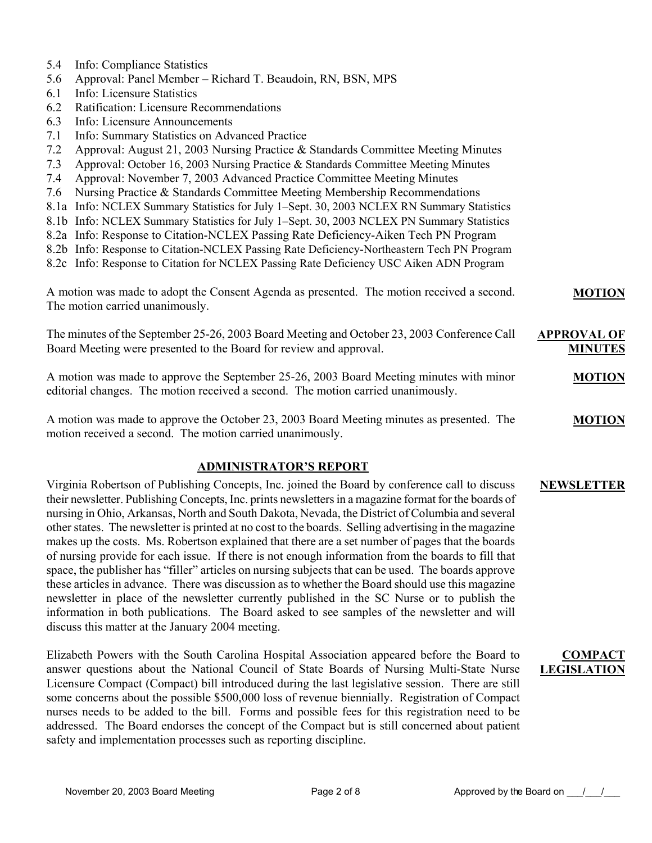- 5.4 Info: Compliance Statistics
- 5.6 Approval: Panel Member Richard T. Beaudoin, RN, BSN, MPS
- 6.1 Info: Licensure Statistics
- 6.2 Ratification: Licensure Recommendations
- 6.3 Info: Licensure Announcements
- 7.1 Info: Summary Statistics on Advanced Practice
- 7.2 Approval: August 21, 2003 Nursing Practice & Standards Committee Meeting Minutes
- 7.3 Approval: October 16, 2003 Nursing Practice & Standards Committee Meeting Minutes
- 7.4 Approval: November 7, 2003 Advanced Practice Committee Meeting Minutes
- 7.6 Nursing Practice & Standards Committee Meeting Membership Recommendations
- 8.1a Info: NCLEX Summary Statistics for July 1–Sept. 30, 2003 NCLEX RN Summary Statistics
- 8.1b Info: NCLEX Summary Statistics for July 1–Sept. 30, 2003 NCLEX PN Summary Statistics
- 8.2a Info: Response to Citation-NCLEX Passing Rate Deficiency-Aiken Tech PN Program
- 8.2b Info: Response to Citation-NCLEX Passing Rate Deficiency-Northeastern Tech PN Program
- 8.2c Info: Response to Citation for NCLEX Passing Rate Deficiency USC Aiken ADN Program

| A motion was made to adopt the Consent Agenda as presented. The motion received a second. | <b>MOTION</b> |
|-------------------------------------------------------------------------------------------|---------------|
| The motion carried unanimously.                                                           |               |

The minutes of the September 25-26, 2003 Board Meeting and October 23, 2003 Conference Call Board Meeting were presented to the Board for review and approval. **APPROVAL OF MINUTES**

A motion was made to approve the September 25-26, 2003 Board Meeting minutes with minor editorial changes. The motion received a second. The motion carried unanimously. **MOTION**

A motion was made to approve the October 23, 2003 Board Meeting minutes as presented. The motion received a second. The motion carried unanimously. **MOTION**

## **ADMINISTRATOR'S REPORT**

Virginia Robertson of Publishing Concepts, Inc. joined the Board by conference call to discuss their newsletter. Publishing Concepts, Inc. prints newsletters in a magazine format for the boards of nursing in Ohio, Arkansas, North and South Dakota, Nevada, the District of Columbia and several other states. The newsletter is printed at no cost to the boards. Selling advertising in the magazine makes up the costs. Ms. Robertson explained that there are a set number of pages that the boards of nursing provide for each issue. If there is not enough information from the boards to fill that space, the publisher has "filler" articles on nursing subjects that can be used. The boards approve these articles in advance. There was discussion as to whether the Board should use this magazine newsletter in place of the newsletter currently published in the SC Nurse or to publish the information in both publications. The Board asked to see samples of the newsletter and will discuss this matter at the January 2004 meeting. **NEWSLETTER**

Elizabeth Powers with the South Carolina Hospital Association appeared before the Board to answer questions about the National Council of State Boards of Nursing Multi-State Nurse Licensure Compact (Compact) bill introduced during the last legislative session. There are still some concerns about the possible \$500,000 loss of revenue biennially. Registration of Compact nurses needs to be added to the bill. Forms and possible fees for this registration need to be addressed. The Board endorses the concept of the Compact but is still concerned about patient safety and implementation processes such as reporting discipline.

**COMPACT LEGISLATION**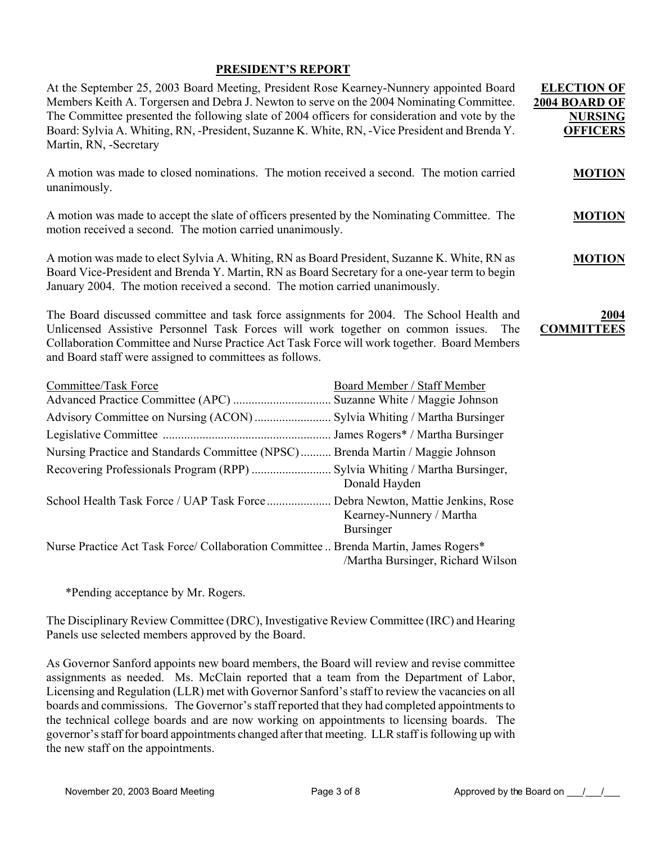## **PRESIDENT'S REPORT**

| At the September 25, 2003 Board Meeting, President Rose Kearney-Nunnery appointed Board<br>Members Keith A. Torgersen and Debra J. Newton to serve on the 2004 Nominating Committee.<br>The Committee presented the following slate of 2004 officers for consideration and vote by the<br>Board: Sylvia A. Whiting, RN, -President, Suzanne K. White, RN, -Vice President and Brenda Y.<br>Martin, RN, -Secretary |                                              | <b>ELECTION OF</b><br>2004 BOARD OF<br><b>NURSING</b><br><b>OFFICERS</b> |
|-------------------------------------------------------------------------------------------------------------------------------------------------------------------------------------------------------------------------------------------------------------------------------------------------------------------------------------------------------------------------------------------------------------------|----------------------------------------------|--------------------------------------------------------------------------|
| A motion was made to closed nominations. The motion received a second. The motion carried<br>unanimously.                                                                                                                                                                                                                                                                                                         |                                              | <b>MOTION</b>                                                            |
| A motion was made to accept the slate of officers presented by the Nominating Committee. The<br>motion received a second. The motion carried unanimously.                                                                                                                                                                                                                                                         |                                              | <b>MOTION</b>                                                            |
| A motion was made to elect Sylvia A. Whiting, RN as Board President, Suzanne K. White, RN as<br>Board Vice-President and Brenda Y. Martin, RN as Board Secretary for a one-year term to begin<br>January 2004. The motion received a second. The motion carried unanimously.                                                                                                                                      |                                              | <b>MOTION</b>                                                            |
| The Board discussed committee and task force assignments for 2004. The School Health and<br>Unlicensed Assistive Personnel Task Forces will work together on common issues.<br>Collaboration Committee and Nurse Practice Act Task Force will work together. Board Members<br>and Board staff were assigned to committees as follows.                                                                             | The                                          | 2004<br><b>COMMITTEES</b>                                                |
| <b>Committee/Task Force</b>                                                                                                                                                                                                                                                                                                                                                                                       | <b>Board Member / Staff Member</b>           |                                                                          |
| Advisory Committee on Nursing (ACON)  Sylvia Whiting / Martha Bursinger                                                                                                                                                                                                                                                                                                                                           |                                              |                                                                          |
|                                                                                                                                                                                                                                                                                                                                                                                                                   |                                              |                                                                          |
| Nursing Practice and Standards Committee (NPSC) Brenda Martin / Maggie Johnson                                                                                                                                                                                                                                                                                                                                    |                                              |                                                                          |
|                                                                                                                                                                                                                                                                                                                                                                                                                   | Donald Hayden                                |                                                                          |
| School Health Task Force / UAP Task Force Debra Newton, Mattie Jenkins, Rose                                                                                                                                                                                                                                                                                                                                      | Kearney-Nunnery / Martha<br><b>Bursinger</b> |                                                                          |
| Nurse Practice Act Task Force/ Collaboration Committee  Brenda Martin, James Rogers*                                                                                                                                                                                                                                                                                                                              | /Martha Bursinger, Richard Wilson            |                                                                          |

\*Pending acceptance by Mr. Rogers.

The Disciplinary Review Committee (DRC), Investigative Review Committee (IRC) and Hearing Panels use selected members approved by the Board.

As Governor Sanford appoints new board members, the Board will review and revise committee assignments as needed. Ms. McClain reported that a team from the Department of Labor, Licensing and Regulation (LLR) met with Governor Sanford's staff to review the vacancies on all boards and commissions. The Governor's staff reported that they had completed appointments to the technical college boards and are now working on appointments to licensing boards. The governor's staff for board appointments changed after that meeting. LLR staff is following up with the new staff on the appointments.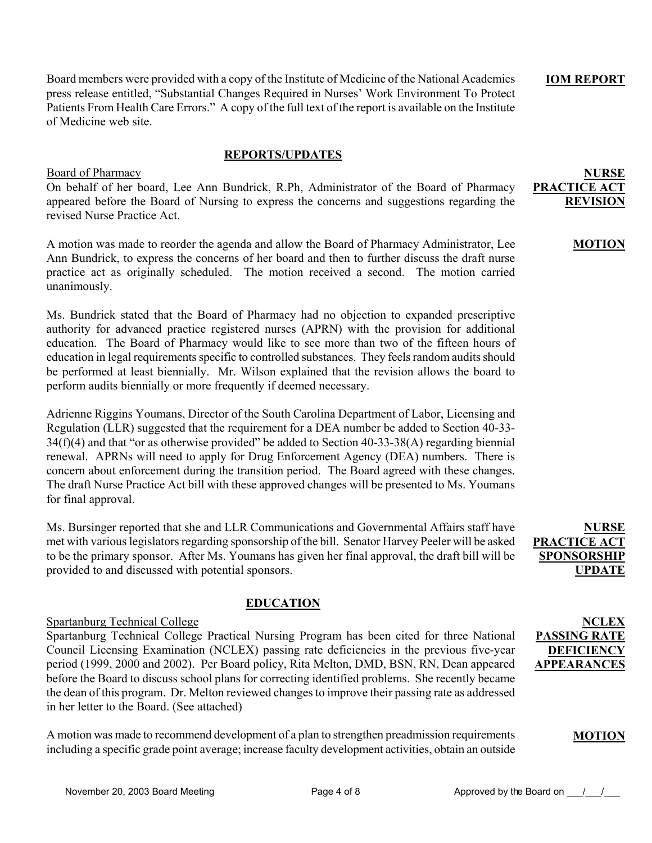Board members were provided with a copy of the Institute of Medicine of the National Academies press release entitled, "Substantial Changes Required in Nurses' Work Environment To Protect Patients From Health Care Errors." A copy of the full text of the report is available on the Institute of Medicine web site.

#### **REPORTS/UPDATES**

#### Board of Pharmacy

# On behalf of her board, Lee Ann Bundrick, R.Ph, Administrator of the Board of Pharmacy appeared before the Board of Nursing to express the concerns and suggestions regarding the revised Nurse Practice Act.

A motion was made to reorder the agenda and allow the Board of Pharmacy Administrator, Lee Ann Bundrick, to express the concerns of her board and then to further discuss the draft nurse practice act as originally scheduled. The motion received a second. The motion carried unanimously.

Ms. Bundrick stated that the Board of Pharmacy had no objection to expanded prescriptive authority for advanced practice registered nurses (APRN) with the provision for additional education. The Board of Pharmacy would like to see more than two of the fifteen hours of education in legal requirements specific to controlled substances. They feels random audits should be performed at least biennially. Mr. Wilson explained that the revision allows the board to perform audits biennially or more frequently if deemed necessary.

Adrienne Riggins Youmans, Director of the South Carolina Department of Labor, Licensing and Regulation (LLR) suggested that the requirement for a DEA number be added to Section 40-33- 34(f)(4) and that "or as otherwise provided" be added to Section 40-33-38(A) regarding biennial renewal. APRNs will need to apply for Drug Enforcement Agency (DEA) numbers. There is concern about enforcement during the transition period. The Board agreed with these changes. The draft Nurse Practice Act bill with these approved changes will be presented to Ms. Youmans for final approval.

Ms. Bursinger reported that she and LLR Communications and Governmental Affairs staff have met with various legislators regarding sponsorship of the bill. Senator Harvey Peeler will be asked to be the primary sponsor. After Ms. Youmans has given her final approval, the draft bill will be provided to and discussed with potential sponsors.

# **EDUCATION**

## Spartanburg Technical College

Spartanburg Technical College Practical Nursing Program has been cited for three National Council Licensing Examination (NCLEX) passing rate deficiencies in the previous five-year period (1999, 2000 and 2002). Per Board policy, Rita Melton, DMD, BSN, RN, Dean appeared before the Board to discuss school plans for correcting identified problems. She recently became the dean of this program. Dr. Melton reviewed changes to improve their passing rate as addressed in her letter to the Board. (See attached)

A motion was made to recommend development of a plan to strengthen preadmission requirements including a specific grade point average; increase faculty development activities, obtain an outside

**NURSE PRACTICE ACT SPONSORSHIP UPDATE**

**IOM REPORT**

**PRACTICE AC** 

**NURSE** 

**REVISION** 

**MOTION**

**NCLEX PASSING RATE DEFICIENCY APPEARANCES**

## **MOTION**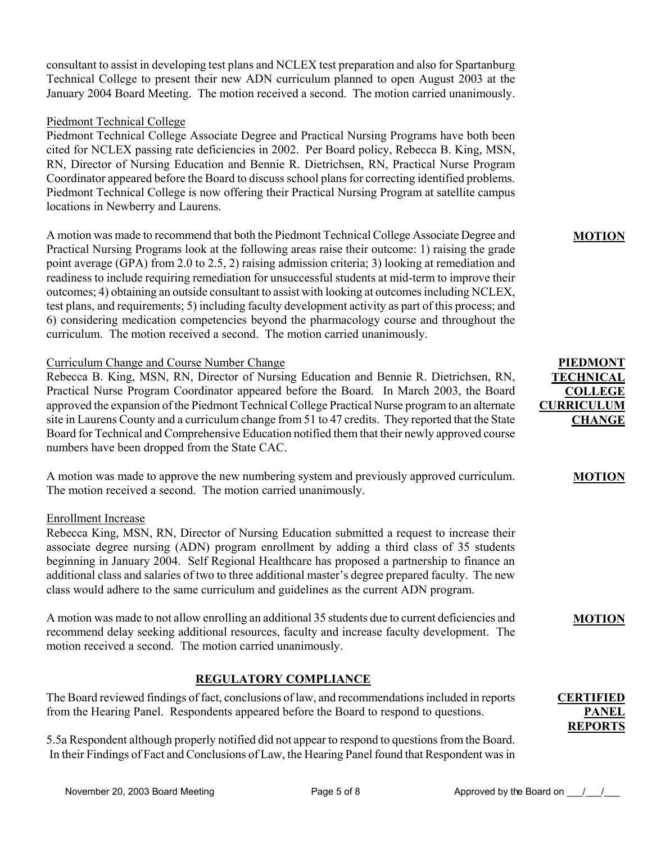consultant to assist in developing test plans and NCLEX test preparation and also for Spartanburg Technical College to present their new ADN curriculum planned to open August 2003 at the January 2004 Board Meeting. The motion received a second. The motion carried unanimously.

## Piedmont Technical College

Piedmont Technical College Associate Degree and Practical Nursing Programs have both been cited for NCLEX passing rate deficiencies in 2002. Per Board policy, Rebecca B. King, MSN, RN, Director of Nursing Education and Bennie R. Dietrichsen, RN, Practical Nurse Program Coordinator appeared before the Board to discuss school plans for correcting identified problems. Piedmont Technical College is now offering their Practical Nursing Program at satellite campus locations in Newberry and Laurens.

A motion was made to recommend that both the Piedmont Technical College Associate Degree and Practical Nursing Programs look at the following areas raise their outcome: 1) raising the grade point average (GPA) from 2.0 to 2.5, 2) raising admission criteria; 3) looking at remediation and readiness to include requiring remediation for unsuccessful students at mid-term to improve their outcomes; 4) obtaining an outside consultant to assist with looking at outcomes including NCLEX, test plans, and requirements; 5) including faculty development activity as part of this process; and 6) considering medication competencies beyond the pharmacology course and throughout the curriculum. The motion received a second. The motion carried unanimously.

# Curriculum Change and Course Number Change

Rebecca B. King, MSN, RN, Director of Nursing Education and Bennie R. Dietrichsen, RN, Practical Nurse Program Coordinator appeared before the Board. In March 2003, the Board approved the expansion of the Piedmont Technical College Practical Nurse program to an alternate site in Laurens County and a curriculum change from 51 to 47 credits. They reported that the State Board for Technical and Comprehensive Education notified them that their newly approved course numbers have been dropped from the State CAC.

A motion was made to approve the new numbering system and previously approved curriculum. The motion received a second. The motion carried unanimously.

## Enrollment Increase

Rebecca King, MSN, RN, Director of Nursing Education submitted a request to increase their associate degree nursing (ADN) program enrollment by adding a third class of 35 students beginning in January 2004. Self Regional Healthcare has proposed a partnership to finance an additional class and salaries of two to three additional master's degree prepared faculty. The new class would adhere to the same curriculum and guidelines as the current ADN program.

A motion was made to not allow enrolling an additional 35 students due to current deficiencies and recommend delay seeking additional resources, faculty and increase faculty development. The motion received a second. The motion carried unanimously.

# **REGULATORY COMPLIANCE**

The Board reviewed findings of fact, conclusions of law, and recommendations included in reports from the Hearing Panel. Respondents appeared before the Board to respond to questions.

5.5a Respondent although properly notified did not appear to respond to questions from the Board. In their Findings of Fact and Conclusions of Law, the Hearing Panel found that Respondent was in

## **MOTION**

# **PIEDMONT TECHNICAL COLLEGE CURRICULUM CHANGE**

#### **MOTION**

#### **MOTION**

### **CERTIFIED PANEL REPORTS**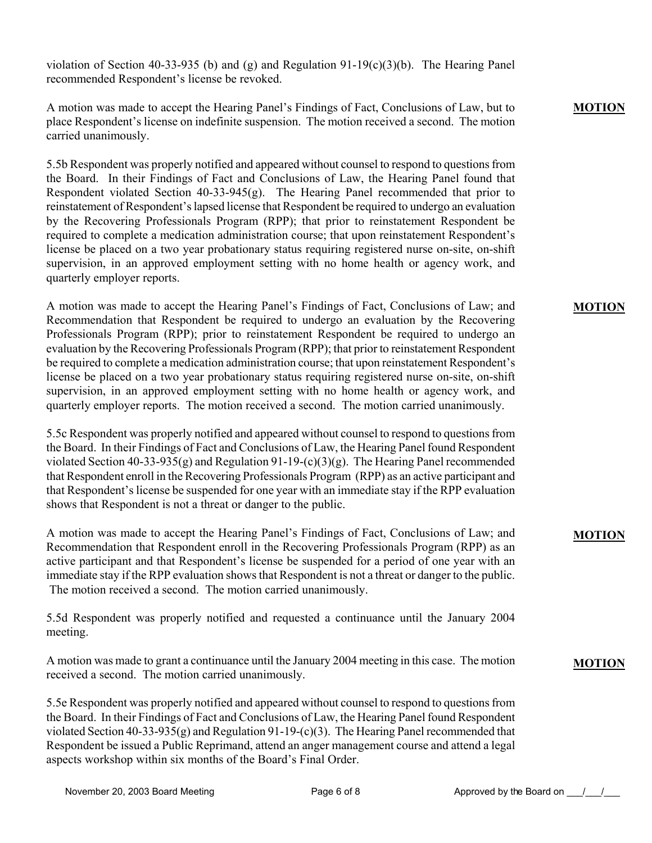violation of Section 40-33-935 (b) and (g) and Regulation  $91-19(c)(3)(b)$ . The Hearing Panel recommended Respondent's license be revoked.

A motion was made to accept the Hearing Panel's Findings of Fact, Conclusions of Law, but to place Respondent's license on indefinite suspension. The motion received a second. The motion carried unanimously.

5.5b Respondent was properly notified and appeared without counsel to respond to questions from the Board. In their Findings of Fact and Conclusions of Law, the Hearing Panel found that Respondent violated Section 40-33-945(g). The Hearing Panel recommended that prior to reinstatement of Respondent's lapsed license that Respondent be required to undergo an evaluation by the Recovering Professionals Program (RPP); that prior to reinstatement Respondent be required to complete a medication administration course; that upon reinstatement Respondent's license be placed on a two year probationary status requiring registered nurse on-site, on-shift supervision, in an approved employment setting with no home health or agency work, and quarterly employer reports.

A motion was made to accept the Hearing Panel's Findings of Fact, Conclusions of Law; and Recommendation that Respondent be required to undergo an evaluation by the Recovering Professionals Program (RPP); prior to reinstatement Respondent be required to undergo an evaluation by the Recovering Professionals Program (RPP); that prior to reinstatement Respondent be required to complete a medication administration course; that upon reinstatement Respondent's license be placed on a two year probationary status requiring registered nurse on-site, on-shift supervision, in an approved employment setting with no home health or agency work, and quarterly employer reports. The motion received a second. The motion carried unanimously.

5.5c Respondent was properly notified and appeared without counsel to respond to questions from the Board. In their Findings of Fact and Conclusions of Law, the Hearing Panel found Respondent violated Section 40-33-935(g) and Regulation 91-19-(c)(3)(g). The Hearing Panel recommended that Respondent enroll in the Recovering Professionals Program (RPP) as an active participant and that Respondent's license be suspended for one year with an immediate stay if the RPP evaluation shows that Respondent is not a threat or danger to the public.

A motion was made to accept the Hearing Panel's Findings of Fact, Conclusions of Law; and Recommendation that Respondent enroll in the Recovering Professionals Program (RPP) as an active participant and that Respondent's license be suspended for a period of one year with an immediate stay if the RPP evaluation shows that Respondent is not a threat or danger to the public. The motion received a second. The motion carried unanimously.

5.5d Respondent was properly notified and requested a continuance until the January 2004 meeting.

A motion was made to grant a continuance until the January 2004 meeting in this case. The motion received a second. The motion carried unanimously.

5.5e Respondent was properly notified and appeared without counsel to respond to questions from the Board. In their Findings of Fact and Conclusions of Law, the Hearing Panel found Respondent violated Section 40-33-935(g) and Regulation 91-19-(c)(3). The Hearing Panel recommended that Respondent be issued a Public Reprimand, attend an anger management course and attend a legal aspects workshop within six months of the Board's Final Order.

# **MOTION**

## **MOTION**

# **MOTION**

## **MOTION**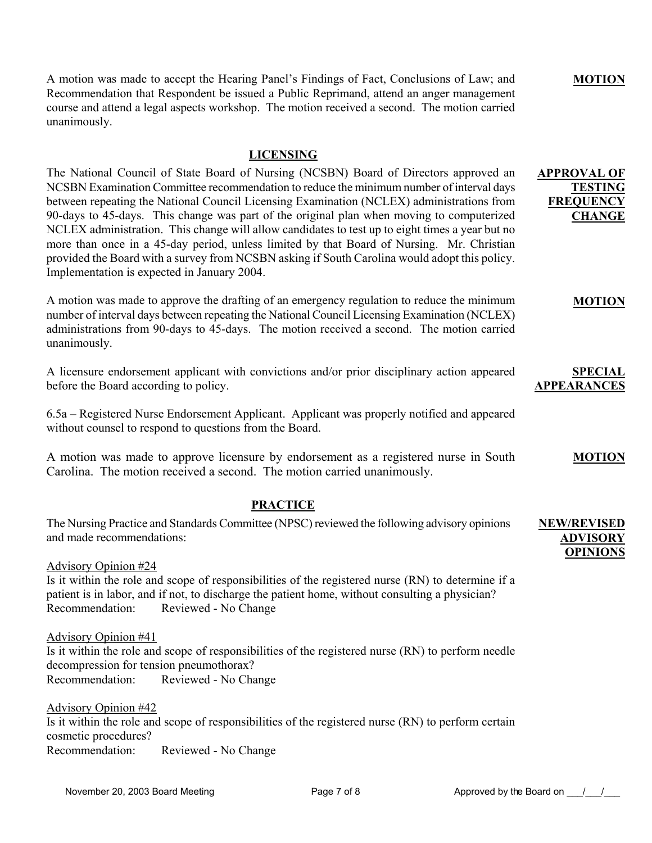A motion was made to accept the Hearing Panel's Findings of Fact, Conclusions of Law; and Recommendation that Respondent be issued a Public Reprimand, attend an anger management course and attend a legal aspects workshop. The motion received a second. The motion carried unanimously.

## **LICENSING**

The National Council of State Board of Nursing (NCSBN) Board of Directors approved an NCSBN Examination Committee recommendation to reduce the minimum number of interval days between repeating the National Council Licensing Examination (NCLEX) administrations from 90-days to 45-days. This change was part of the original plan when moving to computerized NCLEX administration. This change will allow candidates to test up to eight times a year but no more than once in a 45-day period, unless limited by that Board of Nursing. Mr. Christian provided the Board with a survey from NCSBN asking if South Carolina would adopt this policy. Implementation is expected in January 2004. **APPROVAL OF FREQUENCY** 

A motion was made to approve the drafting of an emergency regulation to reduce the minimum number of interval days between repeating the National Council Licensing Examination (NCLEX) administrations from 90-days to 45-days. The motion received a second. The motion carried unanimously.

A licensure endorsement applicant with convictions and/or prior disciplinary action appeared before the Board according to policy. **APPEARANCES**

6.5a – Registered Nurse Endorsement Applicant. Applicant was properly notified and appeared without counsel to respond to questions from the Board.

A motion was made to approve licensure by endorsement as a registered nurse in South Carolina. The motion received a second. The motion carried unanimously. **MOTION**

## **PRACTICE**

The Nursing Practice and Standards Committee (NPSC) reviewed the following advisory opinions and made recommendations: **NEW/REVISED ADVISORY OPINIONS**

Advisory Opinion #24 Is it within the role and scope of responsibilities of the registered nurse (RN) to determine if a patient is in labor, and if not, to discharge the patient home, without consulting a physician? Recommendation: Reviewed - No Change

Advisory Opinion #41 Is it within the role and scope of responsibilities of the registered nurse (RN) to perform needle decompression for tension pneumothorax? Recommendation: Reviewed - No Change

Advisory Opinion #42 Is it within the role and scope of responsibilities of the registered nurse (RN) to perform certain cosmetic procedures? Recommendation: Reviewed - No Change

**MOTION**

**TESTING** 

**CHANGE**

**MOTION**

**SPECIAL**